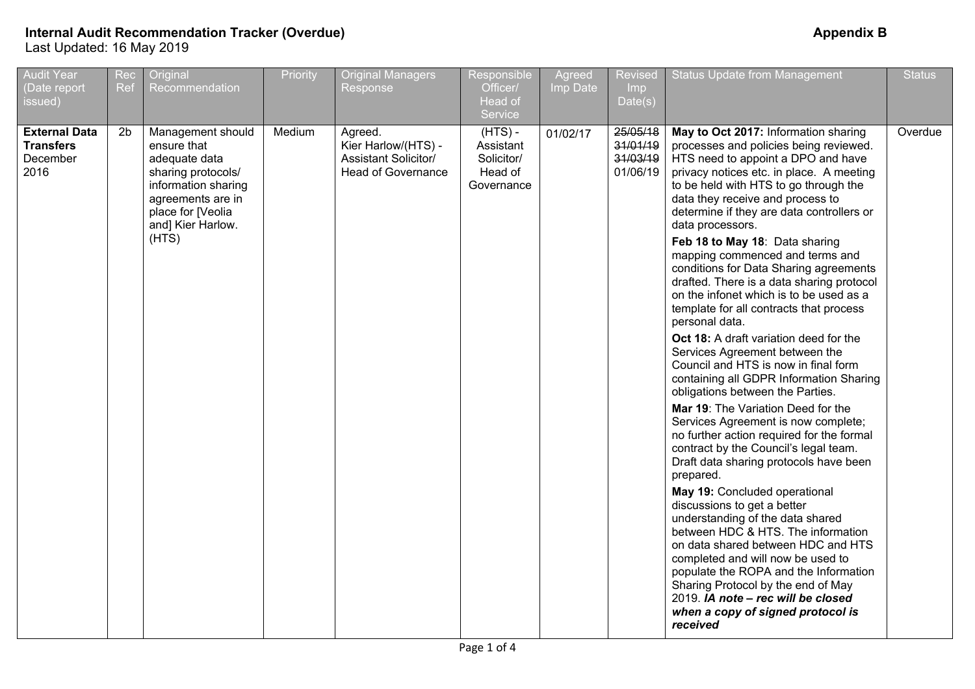| <b>Audit Year</b><br>(Date report<br>issued)                 | Rec<br>Ref     | Original<br>Recommendation                                                                                                                                             | Priority | <b>Original Managers</b><br>Response                                                       | Responsible<br>Officer/<br>Head of<br>Service                 | Agreed<br>Imp Date | <b>Revised</b><br>Imp<br>Date(s)             | <b>Status Update from Management</b>                                                                                                                                                                                                                                                                                                                                                                                                                                                                                                                                                                                                                                                                                                                                                                                                                                                                                                                                                                                                                                                                                                                                                                                                                                                                                                                                                                       | <b>Status</b> |
|--------------------------------------------------------------|----------------|------------------------------------------------------------------------------------------------------------------------------------------------------------------------|----------|--------------------------------------------------------------------------------------------|---------------------------------------------------------------|--------------------|----------------------------------------------|------------------------------------------------------------------------------------------------------------------------------------------------------------------------------------------------------------------------------------------------------------------------------------------------------------------------------------------------------------------------------------------------------------------------------------------------------------------------------------------------------------------------------------------------------------------------------------------------------------------------------------------------------------------------------------------------------------------------------------------------------------------------------------------------------------------------------------------------------------------------------------------------------------------------------------------------------------------------------------------------------------------------------------------------------------------------------------------------------------------------------------------------------------------------------------------------------------------------------------------------------------------------------------------------------------------------------------------------------------------------------------------------------------|---------------|
| <b>External Data</b><br><b>Transfers</b><br>December<br>2016 | 2 <sub>b</sub> | Management should<br>ensure that<br>adequate data<br>sharing protocols/<br>information sharing<br>agreements are in<br>place for [Veolia<br>and] Kier Harlow.<br>(HTS) | Medium   | Agreed.<br>Kier Harlow/(HTS) -<br><b>Assistant Solicitor/</b><br><b>Head of Governance</b> | $(HTS)$ -<br>Assistant<br>Solicitor/<br>Head of<br>Governance | 01/02/17           | 25/05/18<br>31/01/19<br>31/03/19<br>01/06/19 | May to Oct 2017: Information sharing<br>processes and policies being reviewed.<br>HTS need to appoint a DPO and have<br>privacy notices etc. in place. A meeting<br>to be held with HTS to go through the<br>data they receive and process to<br>determine if they are data controllers or<br>data processors.<br>Feb 18 to May 18: Data sharing<br>mapping commenced and terms and<br>conditions for Data Sharing agreements<br>drafted. There is a data sharing protocol<br>on the infonet which is to be used as a<br>template for all contracts that process<br>personal data.<br>Oct 18: A draft variation deed for the<br>Services Agreement between the<br>Council and HTS is now in final form<br>containing all GDPR Information Sharing<br>obligations between the Parties.<br>Mar 19: The Variation Deed for the<br>Services Agreement is now complete;<br>no further action required for the formal<br>contract by the Council's legal team.<br>Draft data sharing protocols have been<br>prepared.<br>May 19: Concluded operational<br>discussions to get a better<br>understanding of the data shared<br>between HDC & HTS. The information<br>on data shared between HDC and HTS<br>completed and will now be used to<br>populate the ROPA and the Information<br>Sharing Protocol by the end of May<br>2019. IA note - rec will be closed<br>when a copy of signed protocol is<br>received | Overdue       |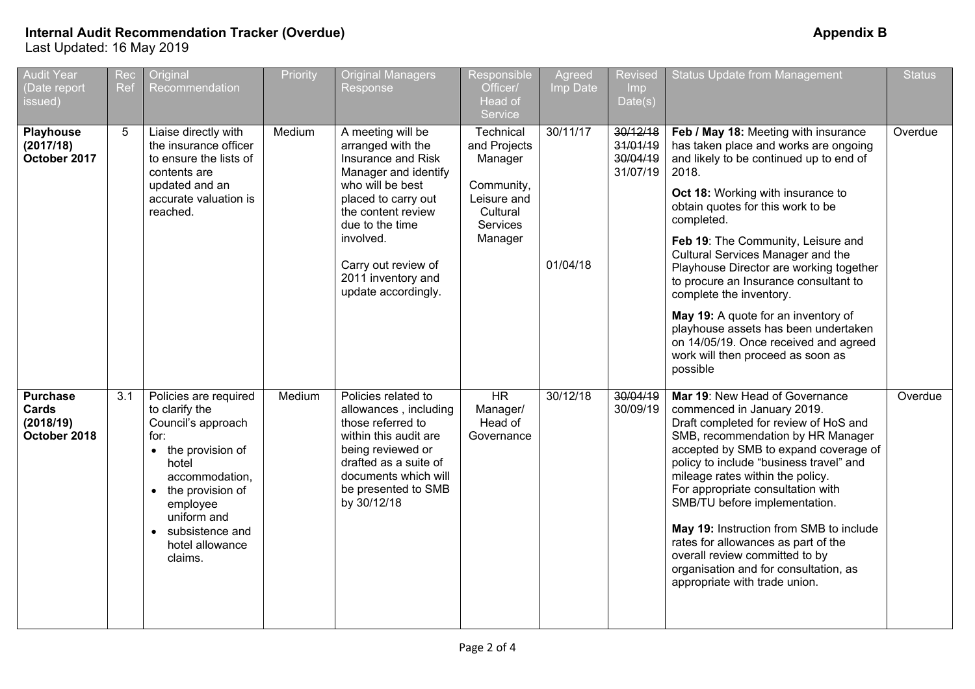| <b>Audit Year</b><br>Date report<br>issued)           | Rec<br>Ref | Original<br>Recommendation                                                                                                                                                                                                 | Priority | <b>Original Managers</b><br>Response                                                                                                                                                                                                                      | Responsible<br>Officer/<br>Head of<br>Service                                                        | Agreed<br>Imp Date   | Revised<br><b>Imp</b><br>Date(s)             | <b>Status Update from Management</b>                                                                                                                                                                                                                                                                                                                                                                                                                                                                                                                                                         | <b>Status</b> |
|-------------------------------------------------------|------------|----------------------------------------------------------------------------------------------------------------------------------------------------------------------------------------------------------------------------|----------|-----------------------------------------------------------------------------------------------------------------------------------------------------------------------------------------------------------------------------------------------------------|------------------------------------------------------------------------------------------------------|----------------------|----------------------------------------------|----------------------------------------------------------------------------------------------------------------------------------------------------------------------------------------------------------------------------------------------------------------------------------------------------------------------------------------------------------------------------------------------------------------------------------------------------------------------------------------------------------------------------------------------------------------------------------------------|---------------|
| <b>Playhouse</b><br>(2017/18)<br>October 2017         | 5          | Liaise directly with<br>the insurance officer<br>to ensure the lists of<br>contents are<br>updated and an<br>accurate valuation is<br>reached.                                                                             | Medium   | A meeting will be<br>arranged with the<br>Insurance and Risk<br>Manager and identify<br>who will be best<br>placed to carry out<br>the content review<br>due to the time<br>involved.<br>Carry out review of<br>2011 inventory and<br>update accordingly. | Technical<br>and Projects<br>Manager<br>Community,<br>Leisure and<br>Cultural<br>Services<br>Manager | 30/11/17<br>01/04/18 | 30/12/18<br>31/01/19<br>30/04/19<br>31/07/19 | Feb / May 18: Meeting with insurance<br>has taken place and works are ongoing<br>and likely to be continued up to end of<br>2018.<br>Oct 18: Working with insurance to<br>obtain quotes for this work to be<br>completed.<br>Feb 19: The Community, Leisure and<br>Cultural Services Manager and the<br>Playhouse Director are working together<br>to procure an Insurance consultant to<br>complete the inventory.<br>May 19: A quote for an inventory of<br>playhouse assets has been undertaken<br>on 14/05/19. Once received and agreed<br>work will then proceed as soon as<br>possible | Overdue       |
| <b>Purchase</b><br>Cards<br>(2018/19)<br>October 2018 | 3.1        | Policies are required<br>to clarify the<br>Council's approach<br>for:<br>• the provision of<br>hotel<br>accommodation,<br>• the provision of<br>employee<br>uniform and<br>• subsistence and<br>hotel allowance<br>claims. | Medium   | Policies related to<br>allowances, including<br>those referred to<br>within this audit are<br>being reviewed or<br>drafted as a suite of<br>documents which will<br>be presented to SMB<br>by 30/12/18                                                    | <b>HR</b><br>Manager/<br>Head of<br>Governance                                                       | 30/12/18             | 30/04/19<br>30/09/19                         | Mar 19: New Head of Governance<br>commenced in January 2019.<br>Draft completed for review of HoS and<br>SMB, recommendation by HR Manager<br>accepted by SMB to expand coverage of<br>policy to include "business travel" and<br>mileage rates within the policy.<br>For appropriate consultation with<br>SMB/TU before implementation.<br>May 19: Instruction from SMB to include<br>rates for allowances as part of the<br>overall review committed to by<br>organisation and for consultation, as<br>appropriate with trade union.                                                       | Overdue       |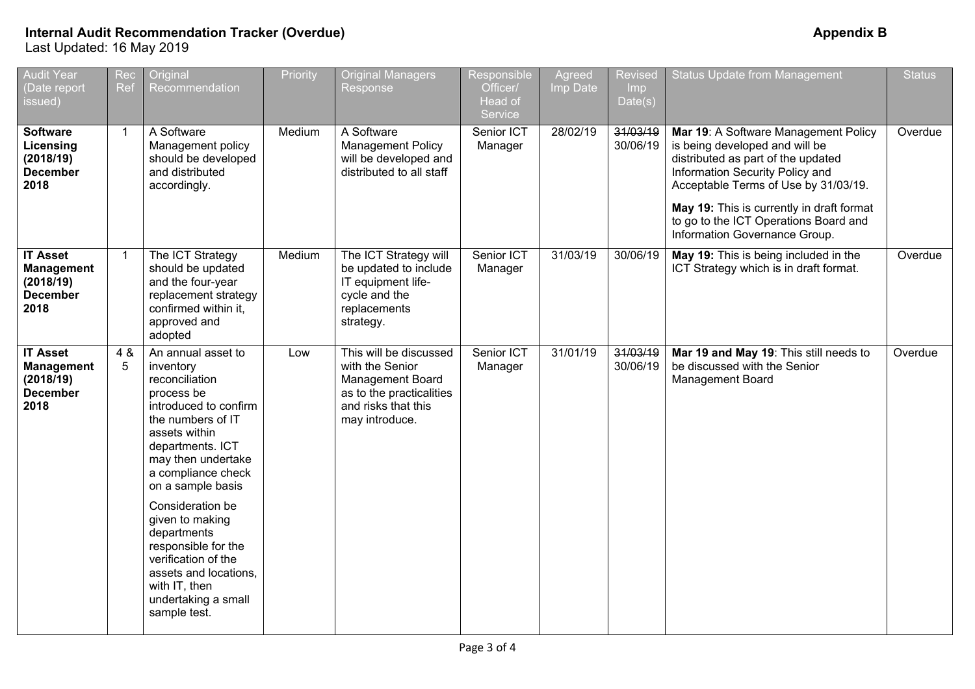| <b>Audit Year</b><br>(Date report<br>issued)                                 | Rec<br>Ref     | Original<br>Recommendation                                                                                                                                                                                                                                                                                                                                                                               | Priority | <b>Original Managers</b><br>Response                                                                                               | Responsible<br>Officer/<br>Head of<br>Service | Agreed<br>Imp Date | <b>Revised</b><br>Imp<br>Date(s) | <b>Status Update from Management</b>                                                                                                                                                                                                                                                                           | <b>Status</b> |
|------------------------------------------------------------------------------|----------------|----------------------------------------------------------------------------------------------------------------------------------------------------------------------------------------------------------------------------------------------------------------------------------------------------------------------------------------------------------------------------------------------------------|----------|------------------------------------------------------------------------------------------------------------------------------------|-----------------------------------------------|--------------------|----------------------------------|----------------------------------------------------------------------------------------------------------------------------------------------------------------------------------------------------------------------------------------------------------------------------------------------------------------|---------------|
| <b>Software</b><br>Licensing<br>(2018/19)<br><b>December</b><br>2018         | $\overline{1}$ | A Software<br>Management policy<br>should be developed<br>and distributed<br>accordingly.                                                                                                                                                                                                                                                                                                                | Medium   | A Software<br>Management Policy<br>will be developed and<br>distributed to all staff                                               | Senior ICT<br>Manager                         | 28/02/19           | 31/03/19<br>30/06/19             | Mar 19: A Software Management Policy<br>is being developed and will be<br>distributed as part of the updated<br>Information Security Policy and<br>Acceptable Terms of Use by 31/03/19.<br>May 19: This is currently in draft format<br>to go to the ICT Operations Board and<br>Information Governance Group. | Overdue       |
| <b>IT Asset</b><br><b>Management</b><br>(2018/19)<br><b>December</b><br>2018 | $\mathbf{1}$   | The ICT Strategy<br>should be updated<br>and the four-year<br>replacement strategy<br>confirmed within it,<br>approved and<br>adopted                                                                                                                                                                                                                                                                    | Medium   | The ICT Strategy will<br>be updated to include<br>IT equipment life-<br>cycle and the<br>replacements<br>strategy.                 | Senior ICT<br>Manager                         | 31/03/19           | 30/06/19                         | May 19: This is being included in the<br>ICT Strategy which is in draft format.                                                                                                                                                                                                                                | Overdue       |
| <b>IT Asset</b><br><b>Management</b><br>(2018/19)<br><b>December</b><br>2018 | 4 &<br>5       | An annual asset to<br>inventory<br>reconciliation<br>process be<br>introduced to confirm<br>the numbers of IT<br>assets within<br>departments. ICT<br>may then undertake<br>a compliance check<br>on a sample basis<br>Consideration be<br>given to making<br>departments<br>responsible for the<br>verification of the<br>assets and locations,<br>with IT, then<br>undertaking a small<br>sample test. | Low      | This will be discussed<br>with the Senior<br>Management Board<br>as to the practicalities<br>and risks that this<br>may introduce. | Senior ICT<br>Manager                         | 31/01/19           | 31/03/19<br>30/06/19             | Mar 19 and May 19: This still needs to<br>be discussed with the Senior<br>Management Board                                                                                                                                                                                                                     | Overdue       |